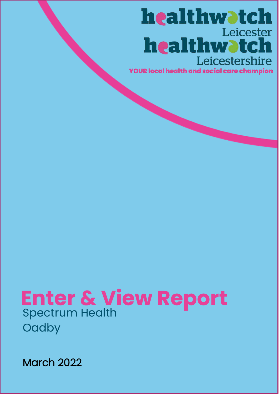# healthwatch Leicester healthwatch Leicestershire

**YOUR local health and social care champion** 

# **Enter & View Report** Spectrum Health **Oadby**

March 2022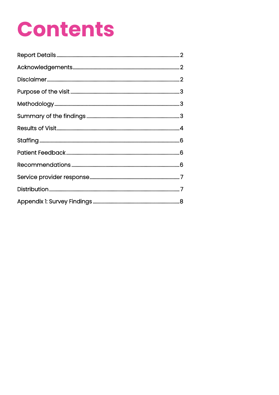# **Contents**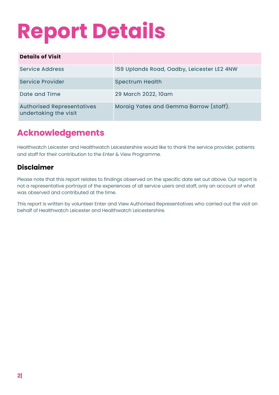# **Report Details**

| <b>Details of Visit</b>                                    |                                            |
|------------------------------------------------------------|--------------------------------------------|
| Service Address                                            | 159 Uplands Road, Oadby, Leicester LE2 4NW |
| <b>Service Provider</b>                                    | <b>Spectrum Health</b>                     |
| Date and Time                                              | 29 March 2022, 10am                        |
| <b>Authorised Representatives</b><br>undertaking the visit | Moraig Yates and Gemma Barrow (staff).     |

# **Acknowledgements**

Healthwatch Leicester and Healthwatch Leicestershire would like to thank the service provider, patients and staff for their contribution to the Enter & View Programme.

#### **Disclaimer**

Please note that this report relates to findings observed on the specific date set out above. Our report is not a representative portrayal of the experiences of all service users and staff, only an account of what was observed and contributed at the time.

This report is written by volunteer Enter and View Authorised Representatives who carried out the visit on behalf of Healthwatch Leicester and Healthwatch Leicestershire.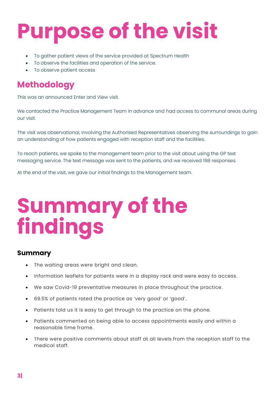# **Purpose of the visit**

- To gather patient views of the service provided at Spectrum Health
- To observe the facilities and operation of the service.
- To observe patient access

# **Methodology**

This was an announced Enter and View visit.

We contacted the Practice Management Team in advance and had access to communal areas during our visit.

The visit was observational, involving the Authorised Representatives observing the surroundings to gain an understanding of how patients engaged with reception staff and the facilities.

To reach patients, we spoke to the management team prior to the visit about using the GP text messaging service. The text message was sent to the patients, and we received 198 responses.

At the end of the visit, we gave our initial findings to the Management team.

# **Summary of the findings**

#### **Summary**

- The waiting areas were bright and clean.
- Information leaflets for patients were in a display rack and were easy to access.
- We saw Covid-19 preventative measures in place throughout the practice.
- 69.5% of patients rated the practice as 'very good' or 'good' .
- Patients told us it is easy to get through to the practice on the phone.
- Patients commented on being able to access appointments easily and within a reasonable time frame.
- There were positive comments about staff at all levels from the reception staff to the medical staff.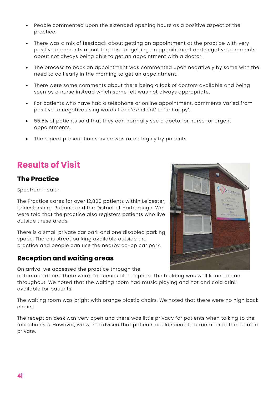- People commented upon the extended opening hours as a positive aspect of the practice.
- There was a mix of feedback about getting an appointment at the practice with very positive comments about the ease of getting an appointment and negative comments about not always being able to get an appointment with a doctor.
- The process to book an appointment was commented upon negatively by some with the need to call early in the morning to get an appointment.
- There were some comments about there being a lack of doctors available and being seen by a nurse instead which some felt was not always appropriate.
- For patients who have had a telephone or online appointment, comments varied from positive to negative using words from 'excellent' to 'unhappy'.
- 55.5% of patients said that they can normally see a doctor or nurse for urgent appointments.
- The repeat prescription service was rated highly by patients.

# **Results of Visit**

#### **The Practice**

Spectrum Health

The Practice cares for over 12,800 patients within Leicester, Leicestershire, Rutland and the District of Harborough. We were told that the practice also registers patients who live outside these areas.

There is a small private car park and one disabled parking space. There is street parking available outside the practice and people can use the nearby co-op car park.

#### **Reception and waiting areas**

On arrival we accessed the practice through the

automatic doors. There were no queues at reception. The building was well lit and clean throughout. We noted that the waiting room had music playing and hot and cold drink available for patients.

The waiting room was bright with orange plastic chairs. We noted that there were no high back chairs.

The reception desk was very open and there was little privacy for patients when talking to the receptionists. However, we were advised that patients could speak to a member of the team in private.

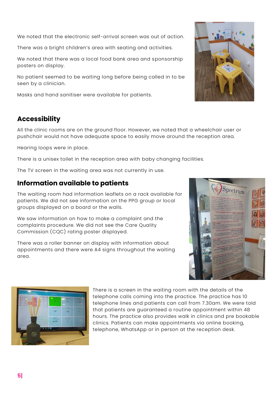We noted that the electronic self-arrival screen was out of action.

There was a bright children's area with seating and activities.

We noted that there was a local food bank area and sponsorship posters on display.

No patient seemed to be waiting long before being called in to be seen by a clinician.

Masks and hand sanitiser were available for patients.

#### **Accessibility**

All the clinic rooms are on the ground floor. However, we noted that a wheelchair user or pushchair would not have adequate space to easily move around the reception area.

Hearing loops were in place.

There is a unisex toilet in the reception area with baby changing facilities.

The TV screen in the waiting area was not currently in use.

#### **Information available to patients**

 $153$ 

The waiting room had information leaflets on a rack available for patients. We did not see information on the PPG group or local groups displayed on a board or the walls.

We saw information on how to make a complaint and the complaints procedure. We did not see the Care Quality Commission (CQC) rating poster displayed.

There was a roller banner on display with information about appointments and there were A4 signs throughout the waiting area.





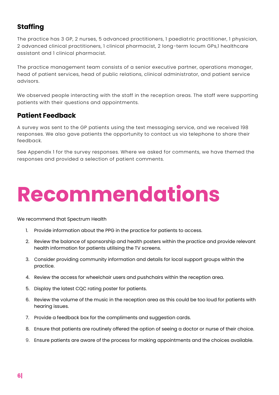# **Staffing**

The practice has 3 GP, 2 nurses, 5 advanced practitioners, 1 paediatric practitioner, 1 physician, 2 advanced clinical practitioners, 1 clinical pharmacist, 2 long-term locum GPs,1 healthcare assistant and 1 clinical pharmacist.

The practice management team consists of a senior executive partner, operations manager, head of patient services, head of public relations, clinical administrator, and patient service advisors.

We observed people interacting with the staff in the reception areas. The staff were supporting patients with their questions and appointments.

#### **Patient Feedback**

A survey was sent to the GP patients using the text messaging service, and we received 198 responses. We also gave patients the opportunity to contact us via telephone to share their feedback.

See Appendix 1 for the survey responses. Where we asked for comments, we have themed the responses and provided a selection of patient comments.

# **Recommendations**

We recommend that Spectrum Health

- 1. Provide information about the PPG in the practice for patients to access.
- 2. Review the balance of sponsorship and health posters within the practice and provide relevant health information for patients utilising the TV screens.
- 3. Consider providing community information and details for local support groups within the practice.
- 4. Review the access for wheelchair users and pushchairs within the reception area.
- 5. Display the latest CQC rating poster for patients.
- 6. Review the volume of the music in the reception area as this could be too loud for patients with hearing issues.
- 7. Provide a feedback box for the compliments and suggestion cards.
- 8. Ensure that patients are routinely offered the option of seeing a doctor or nurse of their choice.
- 9. Ensure patients are aware of the process for making appointments and the choices available.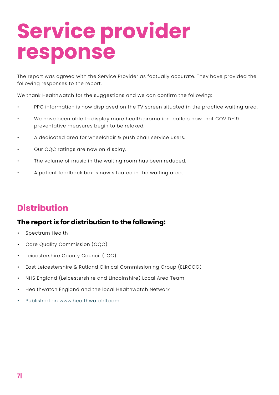# **Service provider response**

The report was agreed with the Service Provider as factually accurate. They have provided the following responses to the report.

We thank Healthwatch for the suggestions and we can confirm the following:

- PPG information is now displayed on the TV screen situated in the practice waiting area.
- We have been able to display more health promotion leaflets now that COVID-19 preventative measures begin to be relaxed.
- A dedicated area for wheelchair & push chair service users.
- Our CQC ratings are now on display.
- The volume of music in the waiting room has been reduced.
- A patient feedback box is now situated in the waiting area.

# **Distribution**

### **The report is for distribution to the following:**

- Spectrum Health
- Care Quality Commission (CQC)
- Leicestershire County Council (LCC)
- East Leicestershire & Rutland Clinical Commissioning Group (ELRCCG)
- NHS England (Leicestershire and Lincolnshire) Local Area Team
- Healthwatch England and the local Healthwatch Network
- Published on [www.healthwatchll.com](http://www.healthwatchll.com/)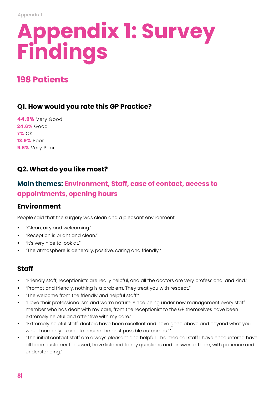# **Appendix 1: Survey Findings**

# **198 Patients**

#### **Q1. How would you rate this GP Practice?**

**44.9%** Very Good **24.6%** Good **7%** Ok **13.9%** Poor **9.6%** Very Poor

### **Q2. What do you like most?**

# **Main themes: Environment, Staff, ease of contact, access to appointments, opening hours**

### **Environment**

People said that the surgery was clean and a pleasant environment.

- "Clean, airy and welcoming."
- "Reception is bright and clean."
- "It's very nice to look at."
- "The atmosphere is generally, positive, caring and friendly."

#### **Staff**

- "Friendly staff, receptionists are really helpful, and all the doctors are very professional and kind."
- "Prompt and friendly, nothing is a problem. They treat you with respect."
- "The welcome from the friendly and helpful staff."
- "I love their professionalism and warm nature. Since being under new management every staff member who has dealt with my care, from the receptionist to the GP themselves have been extremely helpful and attentive with my care."
- "Extremely helpful staff, doctors have been excellent and have gone above and beyond what you would normally expect to ensure the best possible outcomes.".'
- "The initial contact staff are always pleasant and helpful. The medical staff I have encountered have all been customer focussed, have listened to my questions and answered them, with patience and understanding."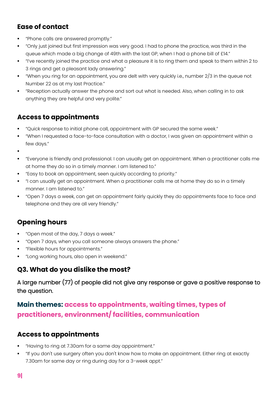### **Ease of contact**

- "Phone calls are answered promptly."
- "Only just joined but first impression was very good. I had to phone the practice, was third in the queue which made a big change of 49th with the last GP, when I had a phone bill of £14."
- "I've recently joined the practice and what a pleasure it is to ring them and speak to them within 2 to 3 rings and get a pleasant lady answering."
- "When you ring for an appointment, you are delt with very quickly i.e., number 2/3 in the queue not Number 22 as at my last Practice."
- "Reception actually answer the phone and sort out what is needed. Also, when calling in to ask anything they are helpful and very polite."

### **Access to appointments**

- "Quick response to initial phone call, appointment with GP secured the same week."
- "When I requested a face-to-face consultation with a doctor, I was given an appointment within a few days."
- ▪
- "Everyone is friendly and professional. I can usually get an appointment. When a practitioner calls me at home they do so in a timely manner. I am listened to."
- "Easy to book an appointment, seen quickly according to priority."
- "I can usually get an appointment. When a practitioner calls me at home they do so in a timely manner. I am listened to."
- "Open 7 days a week, can get an appointment fairly quickly they do appointments face to face and telephone and they are all very friendly."

# **Opening hours**

- "Open most of the day, 7 days a week."
- "Open 7 days, when you call someone always answers the phone."
- "Flexible hours for appointments."
- "Long working hours, also open in weekend."

### **Q3. What do you dislike the most?**

A large number (77) of people did not give any response or gave a positive response to the question.

# **Main themes: access to appointments, waiting times, types of practitioners, environment/ facilities, communication**

#### **Access to appointments**

- "Having to ring at 7.30am for a same day appointment."
- "If you don't use surgery often you don't know how to make an appointment. Either ring at exactly 7.30am for same day or ring during day for a 3-week appt."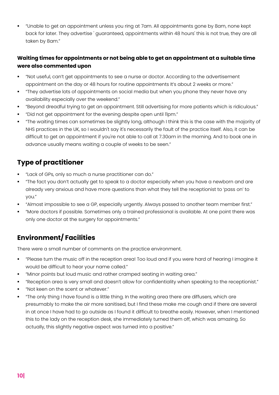▪ "Unable to get an appointment unless you ring at 7am. All appointments gone by 8am, none kept back for later. They advertise ' guaranteed, appointments within 48 hours' this is not true, they are all taken by 8am."

#### **Waiting times for appointments or not being able to get an appointment at a suitable time were also commented upon**

- "Not useful, can't get appointments to see a nurse or doctor. According to the advertisement appointment on the day or 48 hours for routine appointments It's about 2 weeks or more."
- "They advertise lots of appointments on social media but when you phone they never have any availability especially over the weekend."
- "Beyond dreadful trying to get an appointment. Still advertising for more patients which is ridiculous."
- "Did not get appointment for the evening despite open until 11pm."
- "The waiting times can sometimes be slightly long, although I think this is the case with the majority of NHS practices in the UK, so I wouldn't say it's necessarily the fault of the practice itself. Also, it can be difficult to get an appointment if you're not able to call at 7.30am in the morning. And to book one in advance usually means waiting a couple of weeks to be seen."

# **Type of practitioner**

- "Lack of GPs, only so much a nurse practitioner can do."
- "The fact you don't actually get to speak to a doctor especially when you have a newborn and are already very anxious and have more questions than what they tell the receptionist to 'pass on' to you."
- "Almost impossible to see a GP, especially urgently. Always passed to another team member first."
- "More doctors if possible. Sometimes only a trained professional is available. At one point there was only one doctor at the surgery for appointments."

# **Environment/ Facilities**

There were a small number of comments on the practice environment.

- "Please turn the music off in the reception area! Too loud and if you were hard of hearing I imagine it would be difficult to hear your name called."
- "Minor points but loud music and rather cramped seating in waiting area."
- "Reception area is very small and doesn't allow for confidentiality when speaking to the receptionist."
- "Not keen on the scent or whatever."
- "The only thing I have found is a little thing. In the waiting area there are diffusers, which are presumably to make the air more sanitised, but I find these make me cough and if there are several in at once I have had to go outside as I found it difficult to breathe easily. However, when I mentioned this to the lady on the reception desk, she immediately turned them off, which was amazing. So actually, this slightly negative aspect was turned into a positive."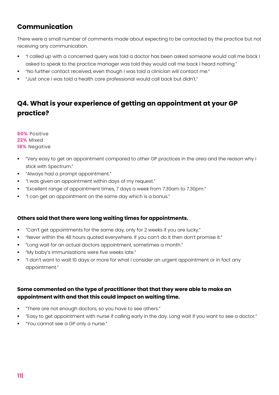### **Communication**

There were a small number of comments made about expecting to be contacted by the practice but not receiving any communication.

- "I called up with a concerned query was told a doctor has been asked someone would call me back I asked to speak to the practice manager was told they would call me back I heard nothing."
- "No further contact received, even though I was told a clinician will contact me."
- "Just once I was told a health care professional would call back but didn't."

# **Q4. What is your experience of getting an appointment at your GP practice?**

**60%** Positive **22%** Mixed **18%** Negative

- "Very easy to get an appointment compared to other GP practices in the area and the reason why I stick with Spectrum."
- "Always had a prompt appointment."
- "I was given an appointment within days of my request."
- "Excellent range of appointment times, 7 days a week from 7.30am to 7.30pm."
- "I can get an appointment on the same day which is a bonus."

#### **Others said that there were long waiting times for appointments.**

- "Can't get appointments for the same day, only for 2 weeks if you are lucky."
- "Never within the 48 hours quoted everywhere. If you can't do it then don't promise it."
- "Long wait for an actual doctors appointment, sometimes a month."
- "My baby's immunisations were five weeks late."
- "I don't want to wait 10 days or more for what I consider an urgent appointment or in fact any appointment."

#### **Some commented on the type of practitioner that that they were able to make an appointment with and that this could impact on waiting time.**

- "There are not enough doctors, so you have to see others."
- "Easy to get appointment with nurse if calling early in the day. Long wait if you want to see a doctor."
- "You cannot see a GP only a nurse."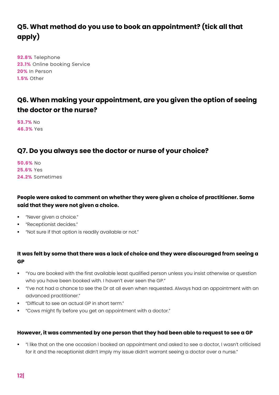# **Q5. What method do you use to book an appointment? (tick all that apply)**

**92.8%** Telephone **23.1%** Online booking Service **20%** In Person **1.5%** Other

### **Q6. When making your appointment, are you given the option of seeing the doctor or the nurse?**

**53.7%** No **46.3%** Yes

#### **Q7. Do you always see the doctor or nurse of your choice?**

**50.6%** No **25.6%** Yes **24.2%** Sometimes

#### **People were asked to comment on whether they were given a choice of practitioner. Some said that they were not given a choice.**

- "Never given a choice."
- "Receptionist decides."
- "Not sure if that option is readily available or not."

#### **It was felt by some that there was a lack of choice and they were discouraged from seeing a GP**

- "You are booked with the first available least qualified person unless you insist otherwise or question who you have been booked with. I haven't ever seen the GP."
- "I've not had a chance to see the Dr at all even when requested. Always had an appointment with an advanced practitioner."
- "Difficult to see an actual GP in short term."
- "Cows might fly before you get an appointment with a doctor."

#### **However, it was commented by one person that they had been able to request to see a GP**

▪ "I like that on the one occasion I booked an appointment and asked to see a doctor, I wasn't criticised for it and the receptionist didn't imply my issue didn't warrant seeing a doctor over a nurse."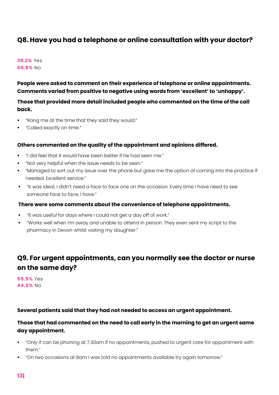#### **Q8. Have you had a telephone or online consultation with your doctor?**

**39.2%** Yes **60.8%** No

**People were asked to comment on their experience of telephone or online appointments. Comments varied from positive to negative using words from 'excellent' to 'unhappy'.** 

**Those that provided more detail included people who commented on the time of the call back.** 

- "Rang me at the time that they said they would."
- "Called exactly on time."

#### **Others commented on the quality of the appointment and opinions differed.**

- "I did feel that it would have been better if he had seen me."
- "Not very helpful when the issue needs to be seen."
- "Managed to sort out my issue over the phone but gave me the option of coming into the practice if needed. Excellent service."
- "It was ideal, I didn't need a face to face one on the occasion. Every time I have need to see someone face to face, I have."

#### **There were some comments about the convenience of telephone appointments.**

- "It was useful for days where I could not get a day off of work."
- "Works well when I'm away and unable to attend in person. They even sent my script to the pharmacy in Devon whilst visiting my daughter."

### **Q9. For urgent appointments, can you normally see the doctor or nurse on the same day?**

**55.5%** Yes **44.5%** No

#### **Several patients said that they had not needed to access an urgent appointment.**

#### **Those that had commented on the need to call early in the morning to get an urgent same day appointment.**

- "Only if can be phoning at 7.30am If no appointments, pushed to urgent care for appointment with them."
- "On two occasions at 8am I was told no appointments available try again tomorrow."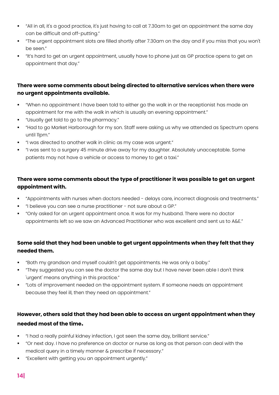- "All in all, it's a good practice, it's just having to call at 7.30am to get an appointment the same day can be difficult and off-putting."
- "The urgent appointment slots are filled shortly after 7.30am on the day and if you miss that you won't be seen."
- "It's hard to get an urgent appointment, usually have to phone just as GP practice opens to get an appointment that day."

#### **There were some comments about being directed to alternative services when there were no urgent appointments available.**

- "When no appointment I have been told to either go the walk in or the receptionist has made an appointment for me with the walk in which is usually an evening appointment."
- "Usually get told to go to the pharmacy."
- "Had to go Market Harborough for my son. Staff were asking us why we attended as Spectrum opens until 11pm."
- "I was directed to another walk in clinic as my case was urgent."
- "I was sent to a surgery 45 minute drive away for my daughter. Absolutely unacceptable. Some patients may not have a vehicle or access to money to get a taxi."

#### **There were some comments about the type of practitioner it was possible to get an urgent appointment with.**

- "Appointments with nurses when doctors needed delays care, incorrect diagnosis and treatments."
- "I believe you can see a nurse practitioner not sure about a GP."
- "Only asked for an urgent appointment once. It was for my husband. There were no doctor appointments left so we saw an Advanced Practitioner who was excellent and sent us to A&E."

#### **Some said that they had been unable to get urgent appointments when they felt that they needed them.**

- "Both my grandson and myself couldn't get appointments. He was only a baby."
- "They suggested you can see the doctor the same day but I have never been able I don't think 'urgent' means anything in this practice."
- "Lots of improvement needed on the appointment system. If someone needs an appointment because they feel ill, then they need an appointment."

#### **However, others said that they had been able to access an urgent appointment when they needed most of the time.**

- "I had a really painful kidney infection, I got seen the same day, brilliant service."
- "Or next day. I have no preference on doctor or nurse as long as that person can deal with the medical query in a timely manner & prescribe if necessary."
- "Excellent with getting you an appointment urgently."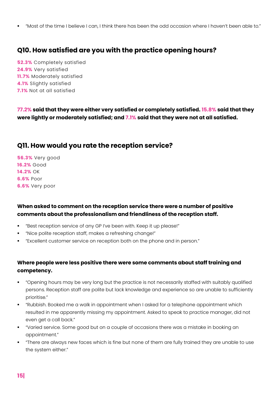▪ "Most of the time I believe I can, I think there has been the odd occasion where I haven't been able to."

#### **Q10. How satisfied are you with the practice opening hours?**

**52.3%** Completely satisfied **24.9%** Very satisfied **11.7%** Moderately satisfied **4.1%** Slightly satisfied **7.1%** Not at all satisfied

**77.2% said that they were either very satisfied or completely satisfied. 15.8% said that they were lightly or moderately satisfied; and 7.1% said that they were not at all satisfied.** 

#### **Q11. How would you rate the reception service?**

**56.3%** Very good **16.2%** Good **14.2%** OK **6.6%** Poor **6.6%** Very poor

#### **When asked to comment on the reception service there were a number of positive comments about the professionalism and friendliness of the reception staff.**

- "Best reception service of any GP I've been with. Keep it up please!"
- "Nice polite reception staff, makes a refreshing change!"
- "Excellent customer service on reception both on the phone and in person."

#### **Where people were less positive there were some comments about staff training and competency.**

- "Opening hours may be very long but the practice is not necessarily staffed with suitably qualified persons. Reception staff are polite but lack knowledge and experience so are unable to sufficiently prioritise."
- "Rubbish. Booked me a walk in appointment when I asked for a telephone appointment which resulted in me apparently missing my appointment. Asked to speak to practice manager, did not even get a call back."
- "Varied service. Some good but on a couple of occasions there was a mistake in booking an appointment."
- "There are always new faces which is fine but none of them are fully trained they are unable to use the system either."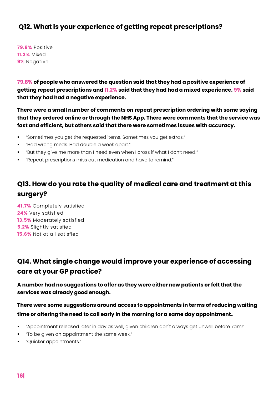### **Q12. What is your experience of getting repeat prescriptions?**

**79.8%** Positive **11.2%** Mixed **9%** Negative

**79.8% of people who answered the question said that they had a positive experience of getting repeat prescriptions and 11.2% said that they had had a mixed experience. 9% said that they had had a negative experience.** 

**There were a small number of comments on repeat prescription ordering with some saying that they ordered online or through the NHS App. There were comments that the service was fast and efficient, but others said that there were sometimes issues with accuracy.** 

- "Sometimes you get the requested items. Sometimes you get extras."
- "Had wrong meds. Had double a week apart."
- "But they give me more than I need even when I cross if what I don't need!"
- "Repeat prescriptions miss out medication and have to remind."

# **Q13. How do you rate the quality of medical care and treatment at this surgery?**

**41.7%** Completely satisfied **24%** Very satisfied **13.5%** Moderately satisfied **5.2%** Slightly satisfied **15.6%** Not at all satisfied

# **Q14. What single change would improve your experience of accessing care at your GP practice?**

**A number had no suggestions to offer as they were either new patients or felt that the services was already good enough.**

#### **There were some suggestions around access to appointments in terms of reducing waiting time or altering the need to call early in the morning for a same day appointment.**

- "Appointment released later in day as well, given children don't always get unwell before 7am!"
- "To be given an appointment the same week."
- "Quicker appointments."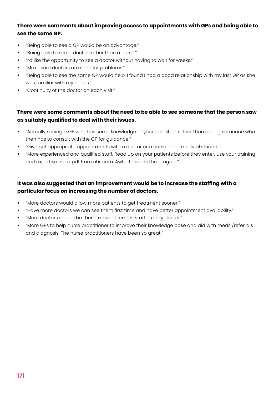#### **There were comments about improving access to appointments with GPs and being able to see the same GP.**

- "Being able to see a GP would be an advantage."
- "Being able to see a doctor rather than a nurse."
- "I'd like the opportunity to see a doctor without having to wait for weeks."
- "Make sure doctors are seen for problems."
- "Being able to see the same GP would help, I found I had a good relationship with my last GP as she was familiar with my needs."
- "Continuity of the doctor on each visit."

#### **There were some comments about the need to be able to see someone that the person saw as suitably qualified to deal with their issues.**

- "Actually seeing a GP who has some knowledge of your condition rather than seeing someone who then has to consult with the GP for guidance."
- "Give out appropriate appointments with a doctor or a nurse not a medical student."
- "More experienced and qualified staff. Read up on your patients before they enter. Use your training and expertise not a pdf from nhs.com. Awful time and time again."

#### **It was also suggested that an improvement would be to increase the staffing with a particular focus on increasing the number of doctors.**

- "More doctors would allow more patients to get treatment sooner."
- "Have more doctors we can see them first time and have better appointment availability."
- "More doctors should be there; more of female staff as lady doctor."
- "More GPs to help nurse practitioner to improve their knowledge base and aid with meds /referrals and diagnosis. The nurse practitioners have been so great."